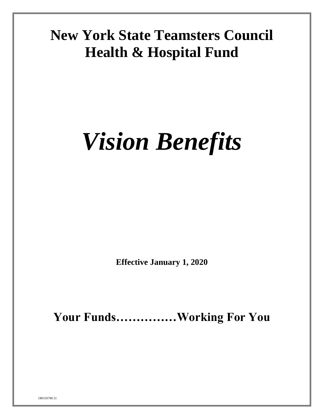# **New York State Teamsters Council Health & Hospital Fund**

# *Vision Benefits*

**Effective January 1, 2020**

**Your Funds……………Working For You**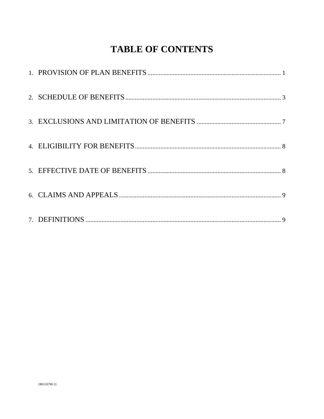# **TABLE OF CONTENTS**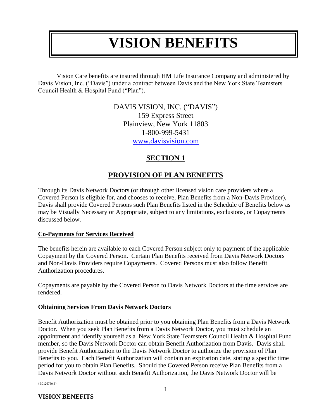# **VISION BENEFITS**

Vision Care benefits are insured through HM Life Insurance Company and administered by Davis Vision, Inc. ("Davis") under a contract between Davis and the New York State Teamsters Council Health & Hospital Fund ("Plan").

> DAVIS VISION, INC. ("DAVIS") 159 Express Street Plainview, New York 11803 1-800-999-5431 [www.davisvision.com](http://www.davisvision.com/)

# **SECTION 1**

# **PROVISION OF PLAN BENEFITS**

<span id="page-2-0"></span>Through its Davis Network Doctors (or through other licensed vision care providers where a Covered Person is eligible for, and chooses to receive, Plan Benefits from a Non-Davis Provider), Davis shall provide Covered Persons such Plan Benefits listed in the Schedule of Benefits below as may be Visually Necessary or Appropriate, subject to any limitations, exclusions, or Copayments discussed below.

#### **Co-Payments for Services Received**

The benefits herein are available to each Covered Person subject only to payment of the applicable Copayment by the Covered Person. Certain Plan Benefits received from Davis Network Doctors and Non-Davis Providers require Copayments. Covered Persons must also follow Benefit Authorization procedures.

Copayments are payable by the Covered Person to Davis Network Doctors at the time services are rendered.

#### **Obtaining Services From Davis Network Doctors**

Benefit Authorization must be obtained prior to you obtaining Plan Benefits from a Davis Network Doctor. When you seek Plan Benefits from a Davis Network Doctor, you must schedule an appointment and identify yourself as a New York State Teamsters Council Health & Hospital Fund member, so the Davis Network Doctor can obtain Benefit Authorization from Davis. Davis shall provide Benefit Authorization to the Davis Network Doctor to authorize the provision of Plan Benefits to you. Each Benefit Authorization will contain an expiration date, stating a specific time period for you to obtain Plan Benefits. Should the Covered Person receive Plan Benefits from a Davis Network Doctor without such Benefit Authorization, the Davis Network Doctor will be

{B0126780.3}

#### **VISION BENEFITS**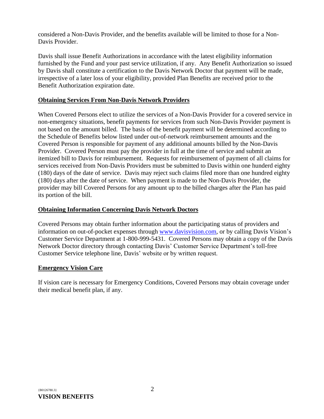considered a Non-Davis Provider, and the benefits available will be limited to those for a Non-Davis Provider.

Davis shall issue Benefit Authorizations in accordance with the latest eligibility information furnished by the Fund and your past service utilization, if any. Any Benefit Authorization so issued by Davis shall constitute a certification to the Davis Network Doctor that payment will be made, irrespective of a later loss of your eligibility, provided Plan Benefits are received prior to the Benefit Authorization expiration date.

#### **Obtaining Services From Non-Davis Network Providers**

When Covered Persons elect to utilize the services of a Non-Davis Provider for a covered service in non-emergency situations, benefit payments for services from such Non-Davis Provider payment is not based on the amount billed. The basis of the benefit payment will be determined according to the Schedule of Benefits below listed under out-of-network reimbursement amounts and the Covered Person is responsible for payment of any additional amounts billed by the Non-Davis Provider. Covered Person must pay the provider in full at the time of service and submit an itemized bill to Davis for reimbursement. Requests for reimbursement of payment of all claims for services received from Non-Davis Providers must be submitted to Davis within one hunderd eighty (180) days of the date of service. Davis may reject such claims filed more than one hundred eighty (180) days after the date of service. When payment is made to the Non-Davis Provider, the provider may bill Covered Persons for any amount up to the billed charges after the Plan has paid its portion of the bill.

#### **Obtaining Information Concerning Davis Network Doctors**

Covered Persons may obtain further information about the participating status of providers and information on out-of-pocket expenses through [www.davisvision.com,](http://www.davisvision.com/) or by calling Davis Vision's Customer Service Department at 1-800-999-5431. Covered Persons may obtain a copy of the Davis Network Doctor directory through contacting Davis' Customer Service Department's toll-free Customer Service telephone line, Davis' website or by written request.

#### **Emergency Vision Care**

If vision care is necessary for Emergency Conditions, Covered Persons may obtain coverage under their medical benefit plan, if any.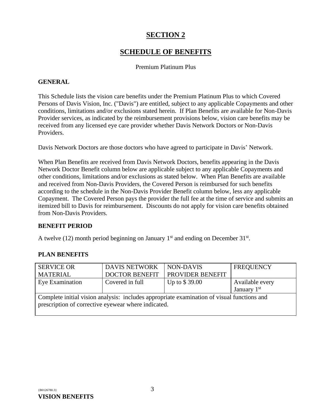# **SECTION 2**

# **SCHEDULE OF BENEFITS**

#### Premium Platinum Plus

#### <span id="page-4-0"></span>**GENERAL**

This Schedule lists the vision care benefits under the Premium Platinum Plus to which Covered Persons of Davis Vision, Inc. ("Davis") are entitled, subject to any applicable Copayments and other conditions, limitations and/or exclusions stated herein. If Plan Benefits are available for Non-Davis Provider services, as indicated by the reimbursement provisions below, vision care benefits may be received from any licensed eye care provider whether Davis Network Doctors or Non-Davis Providers.

Davis Network Doctors are those doctors who have agreed to participate in Davis' Network.

When Plan Benefits are received from Davis Network Doctors, benefits appearing in the Davis Network Doctor Benefit column below are applicable subject to any applicable Copayments and other conditions, limitations and/or exclusions as stated below. When Plan Benefits are available and received from Non-Davis Providers, the Covered Person is reimbursed for such benefits according to the schedule in the Non-Davis Provider Benefit column below, less any applicable Copayment. The Covered Person pays the provider the full fee at the time of service and submits an itemized bill to Davis for reimbursement. Discounts do not apply for vision care benefits obtained from Non-Davis Providers.

#### **BENEFIT PERIOD**

A twelve (12) month period beginning on January  $1<sup>st</sup>$  and ending on December 31 $<sup>st</sup>$ .</sup>

#### **PLAN BENEFITS**

| <b>SERVICE OR</b>                                                                                                                                 | <b>DAVIS NETWORK</b>  | NON-DAVIS               | <b>FREQUENCY</b> |  |  |
|---------------------------------------------------------------------------------------------------------------------------------------------------|-----------------------|-------------------------|------------------|--|--|
| <b>MATERIAL</b>                                                                                                                                   | <b>DOCTOR BENEFIT</b> | <b>PROVIDER BENEFIT</b> |                  |  |  |
| Eye Examination                                                                                                                                   | Covered in full       | Up to $$39.00$          | Available every  |  |  |
|                                                                                                                                                   |                       |                         | January $1st$    |  |  |
| Complete initial vision analysis: includes appropriate examination of visual functions and<br>prescription of corrective eyewear where indicated. |                       |                         |                  |  |  |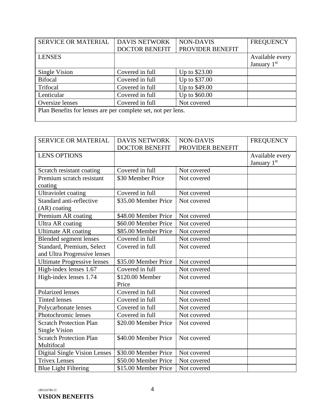| <b>SERVICE OR MATERIAL</b>                                   | <b>DAVIS NETWORK</b>  | <b>NON-DAVIS</b> | <b>FREQUENCY</b> |  |
|--------------------------------------------------------------|-----------------------|------------------|------------------|--|
|                                                              | <b>DOCTOR BENEFIT</b> | PROVIDER BENEFIT |                  |  |
| <b>LENSES</b>                                                |                       |                  | Available every  |  |
|                                                              |                       |                  | January 1st      |  |
| Single Vision                                                | Covered in full       | Up to \$23.00    |                  |  |
| <b>Bifocal</b>                                               | Covered in full       | Up to \$37.00    |                  |  |
| Trifocal                                                     | Covered in full       | Up to \$49.00    |                  |  |
| Lenticular                                                   | Covered in full       | Up to \$60.00    |                  |  |
| Oversize lenses                                              | Covered in full       | Not covered      |                  |  |
| Plan Benefits for lenses are per complete set, not per lens. |                       |                  |                  |  |
|                                                              |                       |                  |                  |  |

| <b>SERVICE OR MATERIAL</b>          | <b>DAVIS NETWORK</b>  | <b>NON-DAVIS</b> | <b>FREQUENCY</b>        |
|-------------------------------------|-----------------------|------------------|-------------------------|
|                                     | <b>DOCTOR BENEFIT</b> | PROVIDER BENEFIT |                         |
| <b>LENS OPTIONS</b>                 |                       |                  | Available every         |
|                                     |                       |                  | January 1 <sup>st</sup> |
| Scratch resistant coating           | Covered in full       | Not covered      |                         |
| Premium scratch resistant           | \$30 Member Price     | Not covered      |                         |
| coating                             |                       |                  |                         |
| <b>Ultraviolet coating</b>          | Covered in full       | Not covered      |                         |
| Standard anti-reflective            | \$35.00 Member Price  | Not covered      |                         |
| (AR) coating                        |                       |                  |                         |
| Premium AR coating                  | \$48.00 Member Price  | Not covered      |                         |
| Ultra AR coating                    | \$60.00 Member Price  | Not covered      |                         |
| <b>Ultimate AR coating</b>          | \$85.00 Member Price  | Not covered      |                         |
| <b>Blended segment lenses</b>       | Covered in full       | Not covered      |                         |
| Standard, Premium, Select           | Covered in full       | Not covered      |                         |
| and Ultra Progressive lenses        |                       |                  |                         |
| <b>Ultimate Progressive lenses</b>  | \$35.00 Member Price  | Not covered      |                         |
| High-index lenses 1.67              | Covered in full       | Not covered      |                         |
| High-index lenses 1.74              | \$120.00 Member       | Not covered      |                         |
|                                     | Price                 |                  |                         |
| <b>Polarized lenses</b>             | Covered in full       | Not covered      |                         |
| <b>Tinted lenses</b>                | Covered in full       | Not covered      |                         |
| Polycarbonate lenses                | Covered in full       | Not covered      |                         |
| Photochromic lenses                 | Covered in full       | Not covered      |                         |
| <b>Scratch Protection Plan</b>      | \$20.00 Member Price  | Not covered      |                         |
| <b>Single Vision</b>                |                       |                  |                         |
| <b>Scratch Protection Plan</b>      | \$40.00 Member Price  | Not covered      |                         |
| Multifocal                          |                       |                  |                         |
| <b>Digital Single Vision Lenses</b> | \$30.00 Member Price  | Not covered      |                         |
| <b>Trivex Lenses</b>                | \$50.00 Member Price  | Not covered      |                         |
| <b>Blue Light Filtering</b>         | \$15.00 Member Price  | Not covered      |                         |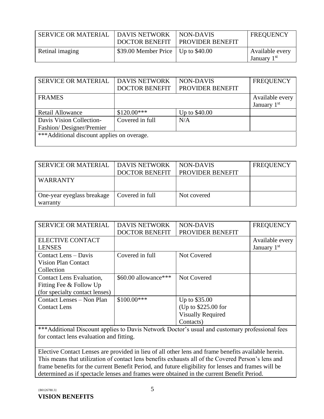| SERVICE OR MATERIAL | <b>DAVIS NETWORK</b><br><b>DOCTOR BENEFIT</b> | NON-DAVIS<br><b>PROVIDER BENEFIT</b> | <b>FREQUENCY</b>                           |
|---------------------|-----------------------------------------------|--------------------------------------|--------------------------------------------|
| Retinal imaging     | $$39.00$ Member Price   Up to $$40.00$        |                                      | Available every<br>January 1 <sup>st</sup> |

| <b>SERVICE OR MATERIAL</b>                 | <b>DAVIS NETWORK</b>  | <b>NON-DAVIS</b> | <b>FREQUENCY</b> |  |
|--------------------------------------------|-----------------------|------------------|------------------|--|
|                                            | <b>DOCTOR BENEFIT</b> | PROVIDER BENEFIT |                  |  |
| <b>FRAMES</b>                              |                       |                  | Available every  |  |
|                                            |                       |                  | January $1st$    |  |
| <b>Retail Allowance</b>                    | $$120.00***$          | Up to \$40.00    |                  |  |
| Davis Vision Collection-                   | Covered in full       | N/A              |                  |  |
| Fashion/Designer/Premier                   |                       |                  |                  |  |
| ***Additional discount applies on overage. |                       |                  |                  |  |
|                                            |                       |                  |                  |  |

| <b>SERVICE OR MATERIAL</b>             | <b>I DAVIS NETWORK</b><br><b>DOCTOR BENEFIT</b> | NON-DAVIS<br><b>PROVIDER BENEFIT</b> | <b>FREQUENCY</b> |
|----------------------------------------|-------------------------------------------------|--------------------------------------|------------------|
| <b>WARRANTY</b>                        |                                                 |                                      |                  |
| One-year eyeglass breakage<br>warranty | Covered in full                                 | Not covered                          |                  |

| <b>SERVICE OR MATERIAL</b>     | <b>DAVIS NETWORK</b>  | <b>NON-DAVIS</b>         | <b>FREQUENCY</b>        |
|--------------------------------|-----------------------|--------------------------|-------------------------|
|                                | <b>DOCTOR BENEFIT</b> | PROVIDER BENEFIT         |                         |
| <b>ELECTIVE CONTACT</b>        |                       |                          | Available every         |
| <b>LENSES</b>                  |                       |                          | January 1 <sup>st</sup> |
| Contact Lens – Davis           | Covered in full       | <b>Not Covered</b>       |                         |
| <b>Vision Plan Contact</b>     |                       |                          |                         |
| Collection                     |                       |                          |                         |
| Contact Lens Evaluation,       | \$60.00 allowance***  | Not Covered              |                         |
| Fitting Fee & Follow Up        |                       |                          |                         |
| (for specialty contact lenses) |                       |                          |                         |
| Contact Lenses – Non Plan      | $$100.00***$          | Up to \$35.00            |                         |
| <b>Contact Lens</b>            |                       | (Up to \$225.00 for      |                         |
|                                |                       | <b>Visually Required</b> |                         |
|                                |                       | Contacts)                |                         |

\*\*\*Additional Discount applies to Davis Network Doctor's usual and customary professional fees for contact lens evaluation and fitting.

Elective Contact Lenses are provided in lieu of all other lens and frame benefits available herein. This means that utilization of contact lens benefits exhausts all of the Covered Person's lens and frame benefits for the current Benefit Period, and future eligibility for lenses and frames will be determined as if spectacle lenses and frames were obtained in the current Benefit Period.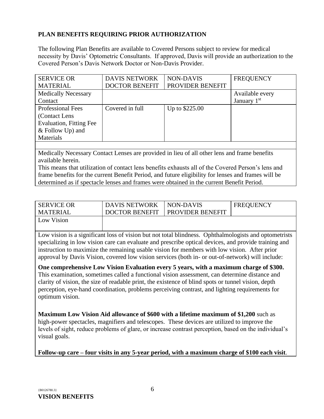#### **PLAN BENEFITS REQUIRING PRIOR AUTHORIZATION**

The following Plan Benefits are available to Covered Persons subject to review for medical necessity by Davis' Optometric Consultants. If approved, Davis will provide an authorization to the Covered Person's Davis Network Doctor or Non-Davis Provider.

| <b>SERVICE OR</b>              | <b>DAVIS NETWORK</b>  | <b>NON-DAVIS</b> | <b>FREQUENCY</b> |
|--------------------------------|-----------------------|------------------|------------------|
| <b>MATERIAL</b>                | <b>DOCTOR BENEFIT</b> | PROVIDER BENEFIT |                  |
| <b>Medically Necessary</b>     |                       |                  | Available every  |
| Contact                        |                       |                  | January $1st$    |
| <b>Professional Fees</b>       | Covered in full       | Up to \$225.00   |                  |
| (Contact Lens)                 |                       |                  |                  |
| <b>Evaluation, Fitting Fee</b> |                       |                  |                  |
| $&$ Follow Up) and             |                       |                  |                  |
| Materials                      |                       |                  |                  |
|                                |                       |                  |                  |

Medically Necessary Contact Lenses are provided in lieu of all other lens and frame benefits available herein.

This means that utilization of contact lens benefits exhausts all of the Covered Person's lens and frame benefits for the current Benefit Period, and future eligibility for lenses and frames will be determined as if spectacle lenses and frames were obtained in the current Benefit Period.

| <b>SERVICE OR</b> | <b>DAVIS NETWORK</b>  | NON-DAVIS               | <b>FREQUENCY</b> |
|-------------------|-----------------------|-------------------------|------------------|
| <b>MATERIAL</b>   | <b>DOCTOR BENEFIT</b> | <b>PROVIDER BENEFIT</b> |                  |
| Low Vision        |                       |                         |                  |

Low vision is a significant loss of vision but not total blindness. Ophthalmologists and optometrists specializing in low vision care can evaluate and prescribe optical devices, and provide training and instruction to maximize the remaining usable vision for members with low vision. After prior approval by Davis Vision, covered low vision services (both in- or out-of-network) will include:

**One comprehensive Low Vision Evaluation every 5 years, with a maximum charge of \$300.**  This examination, sometimes called a functional vision assessment, can determine distance and clarity of vision, the size of readable print, the existence of blind spots or tunnel vision, depth perception, eye-hand coordination, problems perceiving contrast, and lighting requirements for optimum vision.

**Maximum Low Vision Aid allowance of \$600 with a lifetime maximum of \$1,200** such as high-power spectacles, magnifiers and telescopes. These devices are utilized to improve the levels of sight, reduce problems of glare, or increase contrast perception, based on the individual's visual goals.

**Follow-up care – four visits in any 5-year period, with a maximum charge of \$100 each visit**.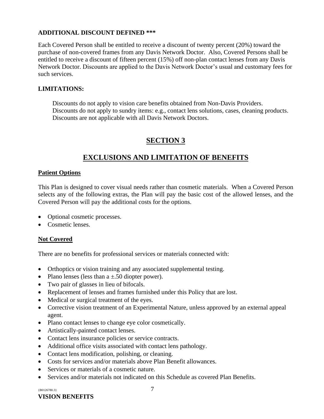#### **ADDITIONAL DISCOUNT DEFINED \*\*\***

Each Covered Person shall be entitled to receive a discount of twenty percent (20%) toward the purchase of non-covered frames from any Davis Network Doctor. Also, Covered Persons shall be entitled to receive a discount of fifteen percent (15%) off non-plan contact lenses from any Davis Network Doctor. Discounts are applied to the Davis Network Doctor's usual and customary fees for such services.

#### **LIMITATIONS:**

Discounts do not apply to vision care benefits obtained from Non-Davis Providers. Discounts do not apply to sundry items: e.g., contact lens solutions, cases, cleaning products. Discounts are not applicable with all Davis Network Doctors.

# **SECTION 3**

# **EXCLUSIONS AND LIMITATION OF BENEFITS**

#### <span id="page-8-0"></span>**Patient Options**

This Plan is designed to cover visual needs rather than cosmetic materials. When a Covered Person selects any of the following extras, the Plan will pay the basic cost of the allowed lenses, and the Covered Person will pay the additional costs for the options.

- Optional cosmetic processes.
- Cosmetic lenses

#### **Not Covered**

There are no benefits for professional services or materials connected with:

- Orthoptics or vision training and any associated supplemental testing.
- Plano lenses (less than  $a \pm 0.50$  diopter power).
- Two pair of glasses in lieu of bifocals.
- Replacement of lenses and frames furnished under this Policy that are lost.
- Medical or surgical treatment of the eyes.
- Corrective vision treatment of an Experimental Nature, unless approved by an external appeal agent.
- Plano contact lenses to change eye color cosmetically.
- Artistically-painted contact lenses.
- Contact lens insurance policies or service contracts.
- Additional office visits associated with contact lens pathology.
- Contact lens modification, polishing, or cleaning.
- Costs for services and/or materials above Plan Benefit allowances.
- Services or materials of a cosmetic nature.
- Services and/or materials not indicated on this Schedule as covered Plan Benefits.

 ${B0126780.3}$   $7$ 

### **VISION BENEFITS**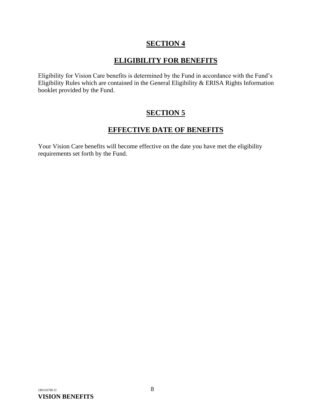# **SECTION 4**

# **ELIGIBILITY FOR BENEFITS**

<span id="page-9-0"></span>Eligibility for Vision Care benefits is determined by the Fund in accordance with the Fund's Eligibility Rules which are contained in the General Eligibility & ERISA Rights Information booklet provided by the Fund.

# **SECTION 5**

# **EFFECTIVE DATE OF BENEFITS**

<span id="page-9-1"></span>Your Vision Care benefits will become effective on the date you have met the eligibility requirements set forth by the Fund.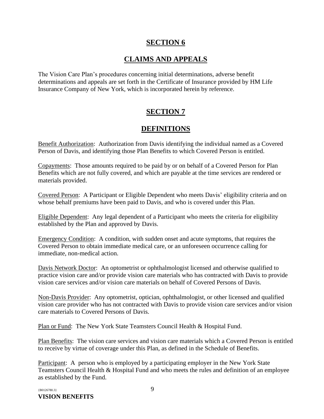# **SECTION 6**

# **CLAIMS AND APPEALS**

<span id="page-10-0"></span>The Vision Care Plan's procedures concerning initial determinations, adverse benefit determinations and appeals are set forth in the Certificate of Insurance provided by HM Life Insurance Company of New York, which is incorporated herein by reference.

# **SECTION 7**

# **DEFINITIONS**

<span id="page-10-1"></span>Benefit Authorization: Authorization from Davis identifying the individual named as a Covered Person of Davis, and identifying those Plan Benefits to which Covered Person is entitled.

Copayments: Those amounts required to be paid by or on behalf of a Covered Person for Plan Benefits which are not fully covered, and which are payable at the time services are rendered or materials provided.

Covered Person: A Participant or Eligible Dependent who meets Davis' eligibility criteria and on whose behalf premiums have been paid to Davis, and who is covered under this Plan.

Eligible Dependent: Any legal dependent of a Participant who meets the criteria for eligibility established by the Plan and approved by Davis.

Emergency Condition: A condition, with sudden onset and acute symptoms, that requires the Covered Person to obtain immediate medical care, or an unforeseen occurrence calling for immediate, non-medical action.

Davis Network Doctor: An optometrist or ophthalmologist licensed and otherwise qualified to practice vision care and/or provide vision care materials who has contracted with Davis to provide vision care services and/or vision care materials on behalf of Covered Persons of Davis.

Non-Davis Provider: Any optometrist, optician, ophthalmologist, or other licensed and qualified vision care provider who has not contracted with Davis to provide vision care services and/or vision care materials to Covered Persons of Davis.

Plan or Fund: The New York State Teamsters Council Health & Hospital Fund.

Plan Benefits: The vision care services and vision care materials which a Covered Person is entitled to receive by virtue of coverage under this Plan, as defined in the Schedule of Benefits.

Participant: A person who is employed by a participating employer in the New York State Teamsters Council Health & Hospital Fund and who meets the rules and definition of an employee as established by the Fund.